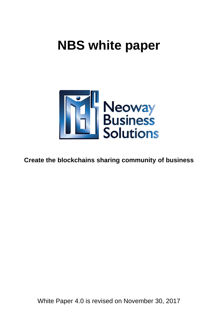# **NBS white paper**



**Create the blockchains sharing community of business**

White Paper 4.0 is revised on November 30, 2017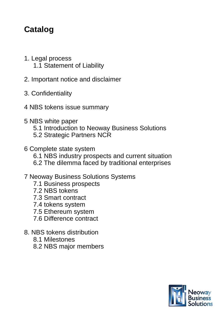## **Catalog**

- 1. Legal process 1.1 Statement of Liability
- 2. Important notice and disclaimer
- 3. Confidentiality
- 4 NBS tokens issue summary
- 5 NBS white paper
	- 5.1 Introduction to Neoway Business Solutions
	- 5.2 Strategic Partners NCR
- 6 Complete state system 6.1 NBS industry prospects and current situation 6.2 The dilemma faced by traditional enterprises
- 7 Neoway Business Solutions Systems
	- 7.1 Business prospects
	- 7.2 NBS tokens
	- 7.3 Smart contract
	- 7.4 tokens system
	- 7.5 Ethereum system
	- 7.6 Difference contract
- 8. NBS tokens distribution
	- 8.1 Milestones
	- 8.2 NBS major members

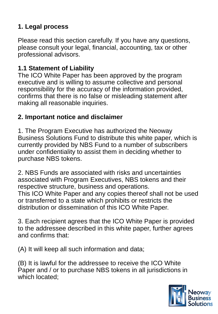## **1. Legal process**

Please read this section carefully. If you have any questions, please consult your legal, financial, accounting, tax or other professional advisors.

## **1.1 Statement of Liability**

The ICO White Paper has been approved by the program executive and is willing to assume collective and personal responsibility for the accuracy of the information provided, confirms that there is no false or misleading statement after making all reasonable inquiries.

## **2. Important notice and disclaimer**

1. The Program Executive has authorized the Neoway Business Solutions Fund to distribute this white paper, which is currently provided by NBS Fund to a number of subscribers under confidentiality to assist them in deciding whether to purchase NBS tokens.

2. NBS Funds are associated with risks and uncertainties associated with Program Executives, NBS tokens and their respective structure, business and operations. This ICO White Paper and any copies thereof shall not be used or transferred to a state which prohibits or restricts the distribution or dissemination of this ICO White Paper.

3. Each recipient agrees that the ICO White Paper is provided to the addressee described in this white paper, further agrees and confirms that:

(A) It will keep all such information and data;

(B) It is lawful for the addressee to receive the ICO White Paper and / or to purchase NBS tokens in all jurisdictions in which located;

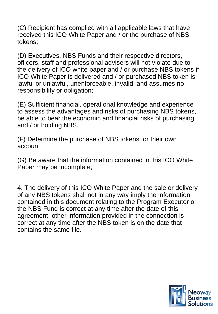(C) Recipient has complied with all applicable laws that have received this ICO White Paper and / or the purchase of NBS tokens;

(D) Executives, NBS Funds and their respective directors, officers, staff and professional advisers will not violate due to the delivery of ICO white paper and / or purchase NBS tokens if ICO White Paper is delivered and / or purchased NBS token is lawful or unlawful, unenforceable, invalid, and assumes no responsibility or obligation;

(E) Sufficient financial, operational knowledge and experience to assess the advantages and risks of purchasing NBS tokens, be able to bear the economic and financial risks of purchasing and / or holding NBS,

(F) Determine the purchase of NBS tokens for their own account

(G) Be aware that the information contained in this ICO White Paper may be incomplete;

4. The delivery of this ICO White Paper and the sale or delivery of any NBS tokens shall not in any way imply the information contained in this document relating to the Program Executor or the NBS Fund is correct at any time after the date of this agreement, other information provided in the connection is correct at any time after the NBS token is on the date that contains the same file.

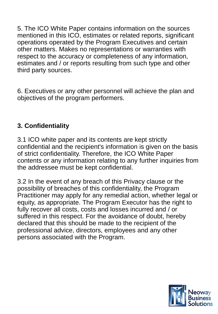5. The ICO White Paper contains information on the sources mentioned in this ICO, estimates or related reports, significant operations operated by the Program Executives and certain other matters. Makes no representations or warranties with respect to the accuracy or completeness of any information, estimates and / or reports resulting from such type and other third party sources.

6. Executives or any other personnel will achieve the plan and objectives of the program performers.

## **3. Confidentiality**

3.1 ICO white paper and its contents are kept strictly confidential and the recipient's information is given on the basis of strict confidentiality. Therefore, the ICO White Paper contents or any information relating to any further inquiries from the addressee must be kept confidential.

3.2 In the event of any breach of this Privacy clause or the possibility of breaches of this confidentiality, the Program Practitioner may apply for any remedial action, whether legal or equity, as appropriate. The Program Executor has the right to fully recover all costs, costs and losses incurred and / or suffered in this respect. For the avoidance of doubt, hereby declared that this should be made to the recipient of the professional advice, directors, employees and any other persons associated with the Program.

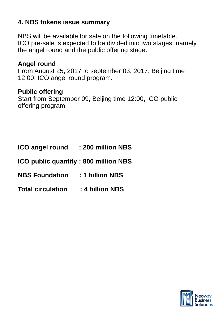## **4. NBS tokens issue summary**

NBS will be available for sale on the following timetable. ICO pre-sale is expected to be divided into two stages, namely the angel round and the public offering stage.

#### **Angel round**

From August 25, 2017 to september 03, 2017, Beijing time 12:00, ICO angel round program.

#### **Public offering**

Start from September 09, Beijing time 12:00, ICO public offering program.

| <b>ICO angel round</b>                      | : 200 million NBS |
|---------------------------------------------|-------------------|
| <b>ICO public quantity: 800 million NBS</b> |                   |
| <b>NBS Foundation</b>                       | : 1 billion NBS   |
| <b>Total circulation</b>                    | : 4 billion NBS   |

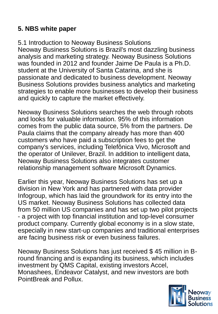## **5. NBS white paper**

5.1 Introduction to Neoway Business Solutions Neoway Business Solutions is Brazil's most dazzling business analysis and marketing strategy. Neoway Business Solutions was founded in 2012 and founder Jaime De Paula is a Ph.D. student at the University of Santa Catarina, and she is passionate and dedicated to business development. Neoway Business Solutions provides business analytics and marketing strategies to enable more businesses to develop their business and quickly to capture the market effectively.

Neoway Business Solutions searches the web through robots and looks for valuable information. 95% of this information comes from the public data source, 5% from the partners. De Paula claims that the company already has more than 400 customers who have paid a subscription fees to get the company's services, including Telefônica Vivo, Microsoft and the operator of Unilever, Brazil. In addition to intelligent data, Neoway Business Solutions also integrates customer relationship management software Microsoft Dynamics.

Earlier this year, Neoway Business Solutions has set up a division in New York and has partnered with data provider Infogroup, which has laid the groundwork for its entry into the US market. Neoway Business Solutions has collected data from 50 million US companies and has set up two pilot projects - a project with top financial institution and top-level consumer product company. Currently global economy is in a slow state, especially in new start-up companies and traditional enterprises are facing business risk or even business failures.

Neoway Business Solutions has just received \$ 45 million in Bround financing and is expanding its business, which includes investment by QMS Capital, existing investors Accel, Monashees, Endeavor Catalyst, and new investors are both PointBreak and Pollux.

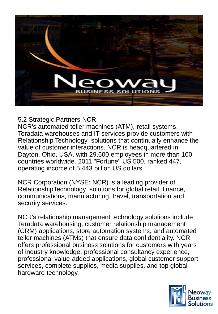

## 5.2 Strategic Partners NCR

NCR's automated teller machines (ATM), retail systems, Teradata warehouses and IT services provide customers with Relationship Technology solutions that continually enhance the value of customer interactions. NCR is headquartered in Dayton, Ohio, USA, with 29,600 employees in more than 100 countries worldwide. 2011 "Fortune" US 500, ranked 447, operating income of 5.443 billion US dollars.

NCR Corporation (NYSE: NCR) is a leading provider of RelationshipTechnology solutions for global retail, finance, communications, manufacturing, travel, transportation and security services.

NCR's relationship management technology solutions include Teradata warehousing, customer relationship management (CRM) applications, store automation systems, and automated teller machines (ATMs) that ensure data confidentiality. NCR offers professional business solutions for customers with years of industry knowledge, professional consultancy experience, professional value-added applications, global customer support services, complete supplies, media supplies, and top global hardware technology.

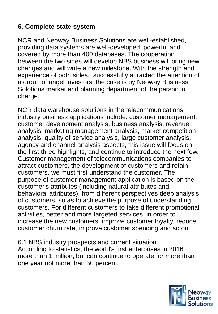## **6. Complete state system**

NCR and Neoway Business Solutions are well-established, providing data systems are well-developed, powerful and covered by more than 400 databases. The cooperation between the two sides will develop NBS business will bring new changes and will write a new milestone. With the strength and experience of both sides, successfully attracted the attention of a group of angel investors, the case is by Neoway Business Solotions market and planning department of the person in charge.

NCR data warehouse solutions in the telecommunications industry business applications include: customer management, customer development analysis, business analysis, revenue analysis, marketing management analysis, market competition analysis, quality of service analysis, large customer analysis, agency and channel analysis aspects, this issue will focus on the first three highlights, and continue to introduce the next few. Customer management of telecommunications companies to attract customers, the development of customers and retain customers, we must first understand the customer. The purpose of customer management application is based on the customer's attributes (including natural attributes and behavioral attributes), from different perspectives deep analysis of customers, so as to achieve the purpose of understanding customers. For different customers to take different promotional activities, better and more targeted services, in order to increase the new customers, improve customer loyalty, reduce customer churn rate, improve customer spending and so on.

6.1 NBS industry prospects and current situation According to statistics, the world's first enterprises in 2016 more than 1 million, but can continue to operate for more than one year not more than 50 percent.

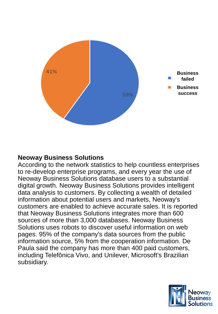

#### **Neoway Business Solutions**

According to the network statistics to help countless enterprises to re-develop enterprise programs, and every year the use of Neoway Business Solutions database users to a substantial digital growth. Neoway Business Solutions provides intelligent data analysis to customers. By collecting a wealth of detailed information about potential users and markets, Neoway's customers are enabled to achieve accurate sales. It is reported that Neoway Business Solutions integrates more than 600 sources of more than 3,000 databases. Neoway Business Solutions uses robots to discover useful information on web pages. 95% of the company's data sources from the public information source, 5% from the cooperation information. De Paula said the company has more than 400 paid customers, including Telefônica Vivo, and Unilever, Microsoft's Brazilian subsidiary.

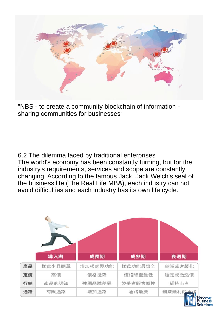

"NBS - to create a community blockchain of information sharing communities for businesses"

6.2 The dilemma faced by traditional enterprises The world's economy has been constantly turning, but for the industry's requirements, services and scope are constantly changing. According to the famous Jack. Jack Welch's seal of the business life (The Real Life MBA), each industry can not avoid difficulties and each industry has its own life cycle.

|    | 導入期    | 成長期     | 成熟期     | 衰退期     |
|----|--------|---------|---------|---------|
| 產品 | 樣式少且簡單 | 增加樣式與功能 | 樣式功能最齊全 | 縮減或客製化  |
| 定價 | 高價     | 價格微降    | 價格降至最低  | 穩定或微漲價  |
| 行銷 | 產品的認知  | 強調品牌差異  | 競爭者顧客轉換 | 維持市占    |
| 通路 | 有限通路   | 增加通路    | 通路最廣    | 删減無利的通路 |

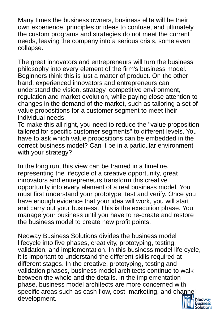Many times the business owners, business elite will be their own experience, principles or ideas to confuse, and ultimately the custom programs and strategies do not meet the current needs, leaving the company into a serious crisis, some even collapse.

The great innovators and entrepreneurs will turn the business philosophy into every element of the firm's business model. Beginners think this is just a matter of product. On the other hand, experienced innovators and entrepreneurs can understand the vision, strategy, competitive environment, regulation and market evolution, while paying close attention to changes in the demand of the market, such as tailoring a set of value propositions for a customer segment to meet their individual needs.

To make this all right, you need to reduce the "value proposition tailored for specific customer segments" to different levels. You have to ask which value propositions can be embedded in the correct business model? Can it be in a particular environment with your strategy?

In the long run, this view can be framed in a timeline, representing the lifecycle of a creative opportunity, great innovators and entrepreneurs transform this creative opportunity into every element of a real business model. You must first understand your prototype, test and verify. Once you have enough evidence that your idea will work, you will start and carry out your business. This is the execution phase. You manage your business until you have to re-create and restore the business model to create new profit points.

Neoway Business Solutions divides the business model lifecycle into five phases, creativity, prototyping, testing, validation, and implementation. In this business model life cycle, it is important to understand the different skills required at different stages. In the creative, prototyping, testing and validation phases, business model architects continue to walk between the whole and the details. In the implementation phase, business model architects are more concerned with specific areas such as cash flow, cost, marketing, and channel development.

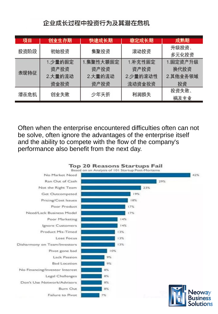## 企业成长过程中投资行为及其潜在危机

| 项目   | 创业生存期                              | 快速成长期                                | 稳定成长期                                 | 成熟期                                |
|------|------------------------------------|--------------------------------------|---------------------------------------|------------------------------------|
| 投资阶段 | 初始投资                               | 集聚投资                                 | 滚动投资                                  | 升级投资、<br>多元化投资                     |
| 表现特征 | 1.少量的固定<br>资产投资<br>2.大量的流动<br>资金投资 | 1.集聚性大额固定<br>资产投资<br>2.大量的流动<br>资产投资 | 1.补充性固定<br>资产投资<br>2.少量的滚动性<br>流动资金投资 | 1.固定资产升级<br>换代投资<br>2.其他业务领域<br>投资 |
| 潜在危机 | 创业失败                               | 少年夭折                                 | 利润损失                                  | 投资失败、<br>祸及主业                      |

Often when the enterprise encountered difficulties often can not be solve, often ignore the advantages of the enterprise itself and the ability to compete with the flow of the company's performance also benefit from the next day.

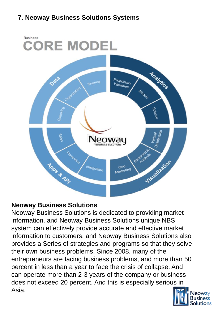## **7. Neoway Business Solutions Systems**



## **Neoway Business Solutions**

Neoway Business Solutions is dedicated to providing market information, and Neoway Business Solutions unique NBS system can effectively provide accurate and effective market information to customers, and Neoway Business Solutions also provides a Series of strategies and programs so that they solve their own business problems. Since 2008, many of the entrepreneurs are facing business problems, and more than 50 percent in less than a year to face the crisis of collapse. And can operate more than 2-3 years of the company or business does not exceed 20 percent. And this is especially serious in Asia.

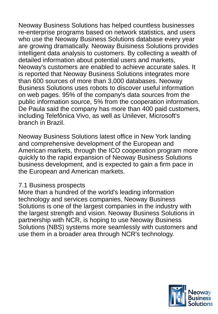Neoway Business Solutions has helped countless businesses re-enterprise programs based on network statistics, and users who use the Neoway Business Solutions database every year are growing dramatically. Neoway Buisiness Solutions provides intelligent data analysis to customers. By collecting a wealth of detailed information about potential users and markets, Neoway's customers are enabled to achieve accurate sales. It is reported that Neoway Business Solutions integrates more than 600 sources of more than 3,000 databases. Neoway Business Solutions uses robots to discover useful information on web pages. 95% of the company's data sources from the public information source, 5% from the cooperation information. De Paula said the company has more than 400 paid customers, including Telefônica Vivo, as well as Unilever, Microsoft's branch in Brazil.

Neoway Business Solutions latest office in New York landing and comprehensive development of the European and American markets, through the ICO cooperation program more quickly to the rapid expansion of Neoway Business Solutions business development, and is expected to gain a firm pace in the European and American markets.

#### 7.1 Business prospects

More than a hundred of the world's leading information technology and services companies, Neoway Business Solutions is one of the largest companies in the industry with the largest strength and vision. Neoway Business Solutions in partnership with NCR, is hoping to use Neoway Business Solutions (NBS) systems more seamlessly with customers and use them in a broader area through NCR's technology.

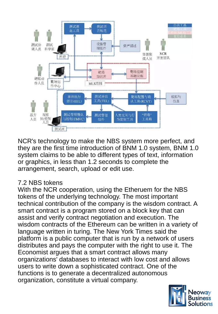

NCR's technology to make the NBS system more perfect, and they are the first time introduction of BNM 1.0 system, BNM 1.0 system claims to be able to different types of text, information or graphics, in less than 1.2 seconds to complete the arrangement, search, upload or edit use.

## 7.2 NBS tokens

With the NCR cooperation, using the Etheruem for the NBS tokens of the underlying technology. The most important technical contribution of the company is the wisdom contract. A smart contract is a program stored on a block key that can assist and verify contract negotiation and execution. The wisdom contracts of the Ethereum can be written in a variety of language written in turing. The New York Times said the platform is a public computer that is run by a network of users distributes and pays the computer with the right to use it. The Economist argues that a smart contract allows many organizations' databases to interact with low cost and allows users to write down a sophisticated contract. One of the functions is to generate a decentralized autonomous organization, constitute a virtual company.

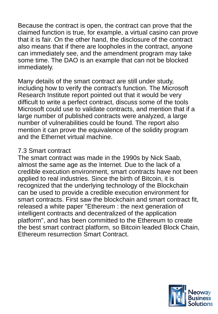Because the contract is open, the contract can prove that the claimed function is true, for example, a virtual casino can prove that it is fair. On the other hand, the disclosure of the contract also means that if there are loopholes in the contract, anyone can immediately see, and the amendment program may take some time. The DAO is an example that can not be blocked immediately.

Many details of the smart contract are still under study, including how to verify the contract's function. The Microsoft Research Institute report pointed out that it would be very difficult to write a perfect contract, discuss some of the tools Microsoft could use to validate contracts, and mention that if a large number of published contracts were analyzed, a large number of vulnerabilities could be found. The report also mention it can prove the equivalence of the solidity program and the Ethernet virtual machine.

#### 7.3 Smart contract

The smart contract was made in the 1990s by Nick Saab, almost the same age as the Internet. Due to the lack of a credible execution environment, smart contracts have not been applied to real industries. Since the birth of Bitcoin, it is recognized that the underlying technology of the Blockchain can be used to provide a credible execution environment for smart contracts. First saw the blockchain and smart contract fit, released a white paper "Ethereum : the next generation of intelligent contracts and decentralized of the application platform", and has been committed to the Ethereum to create the best smart contract platform, so Bitcoin leaded Block Chain, Ethereum resurrection Smart Contract.

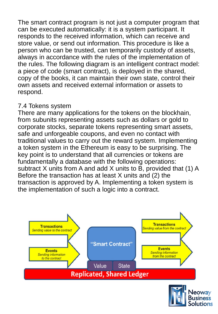The smart contract program is not just a computer program that can be executed automatically: it is a system participant. It responds to the received information, which can receive and store value, or send out information. This procedure is like a person who can be trusted, can temporarily custody of assets, always in accordance with the rules of the implementation of the rules. The following diagram is an intelligent contract model: a piece of code (smart contract), is deployed in the shared, copy of the books, it can maintain their own state, control their own assets and received external information or assets to respond.

#### 7.4 Tokens system

There are many applications for the tokens on the blockhain, from subunits representing assets such as dollars or gold to corporate stocks, separate tokens representing smart assets, safe and unforgeable coupons, and even no contact with traditional values to carry out the reward system. Implementing a token system in the Ethereum is easy to be surprising. The key point is to understand that all currencies or tokens are fundamentally a database with the following operations: subtract X units from A and add X units to B, provided that (1) A Before the transaction has at least X units and (2) the transaction is approved by A. Implementing a token system is the implementation of such a logic into a contract.



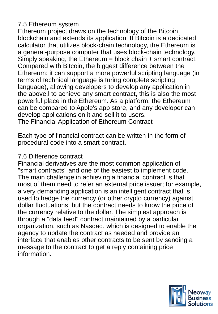## 7.5 Ethereum system

Ethereum project draws on the technology of the Bitcoin blockchain and extends its application. If Bitcoin is a dedicated calculator that utilizes block-chain technology, the Ethereum is a general-purpose computer that uses block-chain technology. Simply speaking, the Ethereum = block chain + smart contract. Compared with Bitcoin, the biggest difference between the Ethereum: it can support a more powerful scripting language (in terms of technical language is turing complete scripting language), allowing developers to develop any application in the above,l to achieve any smart contract, this is also the most powerful place in the Ethereum. As a platform, the Ethereum can be compared to Apple's app store, and any developer can develop applications on it and sell it to users. The Financial Application of Ethereum Contract

Each type of financial contract can be written in the form of procedural code into a smart contract.

## 7.6 Difference contract

Financial derivatives are the most common application of "smart contracts" and one of the easiest to implement code. The main challenge in achieving a financial contract is that most of them need to refer an external price issuer; for example, a very demanding application is an intelligent contract that is used to hedge the currency (or other crypto currency) against dollar fluctuations, but the contract needs to know the price of the currency relative to the dollar. The simplest approach is through a "data feed" contract maintained by a particular organization, such as Nasdaq, which is designed to enable the agency to update the contract as needed and provide an interface that enables other contracts to be sent by sending a message to the contract to get a reply containing price information.

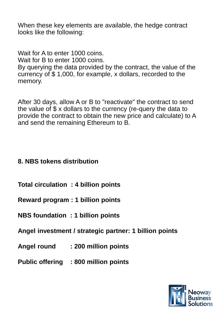When these key elements are available, the hedge contract looks like the following:

Wait for A to enter 1000 coins. Wait for B to enter 1000 coins. By querying the data provided by the contract, the value of the currency of \$ 1,000, for example, x dollars, recorded to the memory.

After 30 days, allow A or B to "reactivate" the contract to send the value of \$ x dollars to the currency (re-query the data to provide the contract to obtain the new price and calculate) to A and send the remaining Ethereum to B.

## **8. NBS tokens distribution**

- **Total circulation : 4 billion points**
- **Reward program : 1 billion points**
- **NBS foundation : 1 billion points**
- **Angel investment / strategic partner: 1 billion points**
- **Angel round : 200 million points**
- **Public offering : 800 million points**

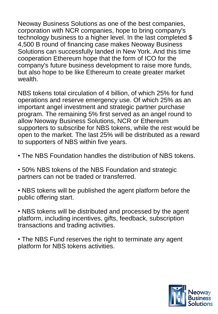Neoway Business Solutions as one of the best companies, corporation with NCR companies, hope to bring company's technology business to a higher level. In the last completed \$ 4,500 B round of financing case makes Neoway Business Solutions can successfully landed in New York. And this time cooperation Ethereum hope that the form of ICO for the company's future business development to raise more funds, but also hope to be like Ethereum to create greater market wealth.

NBS tokens total circulation of 4 billion, of which 25% for fund operations and reserve emergency use. Of which 25% as an important angel investment and strategic partner purchase program. The remaining 5% first served as an angel round to allow Neoway Business Solutions, NCR or Ethereum supporters to subscribe for NBS tokens, while the rest would be open to the market. The last 25% will be distributed as a reward to supporters of NBS within five years.

- The NBS Foundation handles the distribution of NBS tokens.
- 50% NBS tokens of the NBS Foundation and strategic partners can not be traded or transferred.
- NBS tokens will be published the agent platform before the public offering start.

• NBS tokens will be distributed and processed by the agent platform, including incentives, gifts, feedback, subscription transactions and trading activities.

• The NBS Fund reserves the right to terminate any agent platform for NBS tokens activities.

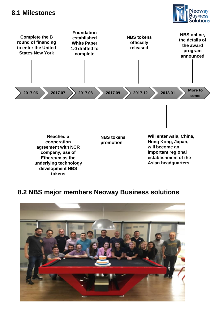#### **8.1 Milestones**





### **8.2 NBS major members Neoway Business solutions**